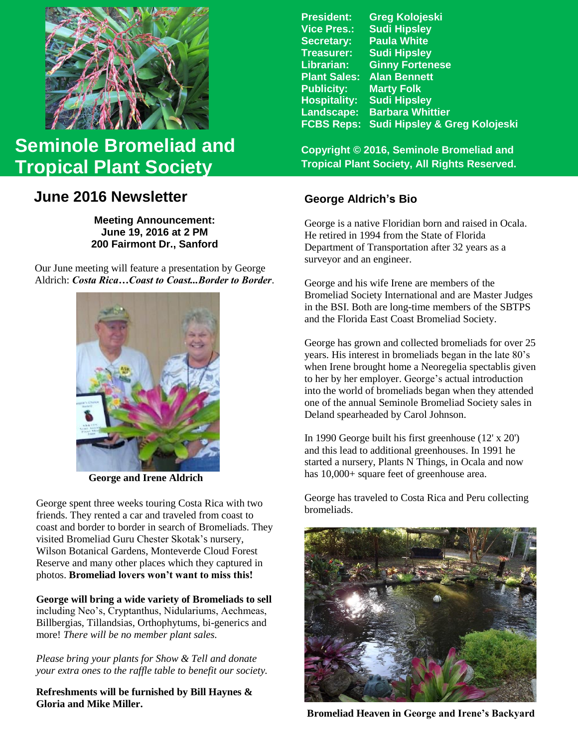

# **Seminole Bromeliad and Tropical Plant Society**

## **June 2016 Newsletter**

**Meeting Announcement: June 19, 2016 at 2 PM 200 Fairmont Dr., Sanford**

Our June meeting will feature a presentation by George Aldrich: *Costa Rica…Coast to Coast...Border to Border*.



 **George and Irene Aldrich**

George spent three weeks touring Costa Rica with two friends. They rented a car and traveled from coast to coast and border to border in search of Bromeliads. They visited Bromeliad Guru Chester Skotak's nursery, Wilson Botanical Gardens, Monteverde Cloud Forest Reserve and many other places which they captured in photos. **Bromeliad lovers won't want to miss this!**

**George will bring a wide variety of Bromeliads to sell** including Neo's, Cryptanthus, Nidulariums, Aechmeas, Billbergias, Tillandsias, Orthophytums, bi-generics and more! *There will be no member plant sales.*

*Please bring your plants for Show & Tell and donate your extra ones to the raffle table to benefit our society.*

**Refreshments will be furnished by Bill Haynes & Gloria and Mike Miller.**

| <b>Greg Kolojeski</b>         |
|-------------------------------|
| <b>Sudi Hipsley</b>           |
| <b>Paula White</b>            |
| <b>Sudi Hipsley</b>           |
| <b>Ginny Fortenese</b>        |
| <b>Alan Bennett</b>           |
| <b>Marty Folk</b>             |
| <b>Sudi Hipsley</b>           |
| <b>Barbara Whittier</b>       |
| Sudi Hipsley & Greg Kolojeski |
|                               |

**Copyright © 2016, Seminole Bromeliad and Tropical Plant Society, All Rights Reserved.**

### **George Aldrich's Bio**

George is a native Floridian born and raised in Ocala. He retired in 1994 from the State of Florida Department of Transportation after 32 years as a surveyor and an engineer.

George and his wife Irene are members of the Bromeliad Society International and are Master Judges in the BSI. Both are long-time members of the SBTPS and the Florida East Coast Bromeliad Society.

George has grown and collected bromeliads for over 25 years. His interest in bromeliads began in the late 80's when Irene brought home a Neoregelia spectablis given to her by her employer. George's actual introduction into the world of bromeliads began when they attended one of the annual Seminole Bromeliad Society sales in Deland spearheaded by Carol Johnson.

In 1990 George built his first greenhouse (12' x 20') and this lead to additional greenhouses. In 1991 he started a nursery, Plants N Things, in Ocala and now has  $10,000+$  square feet of greenhouse area.

George has traveled to Costa Rica and Peru collecting bromeliads.



**Bromeliad Heaven in George and Irene's Backyard**